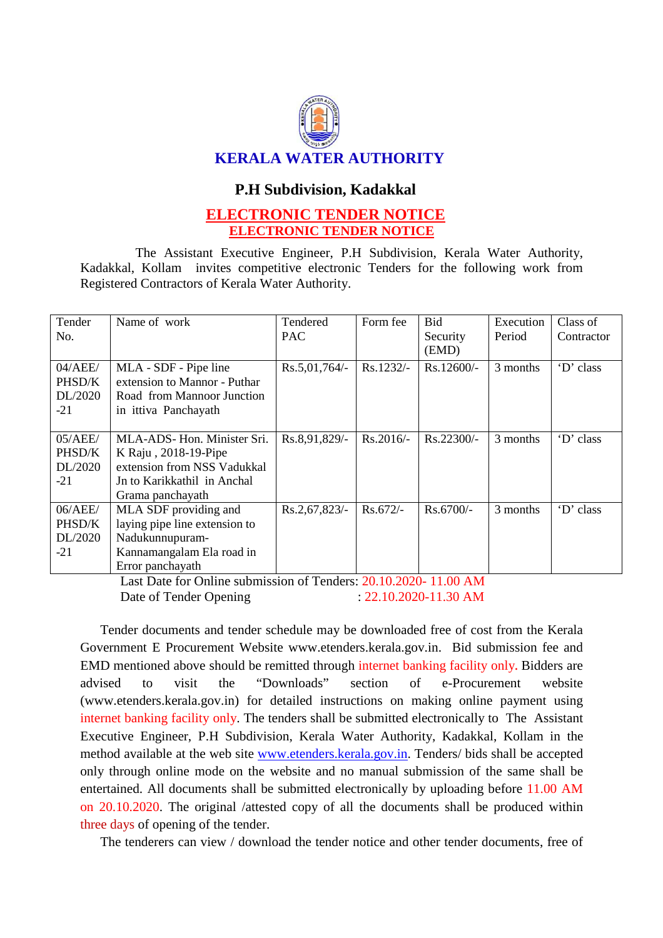

## **P.H Subdivision, Kadakkal**

## **ELECTRONIC TENDER NOTICE ELECTRONIC TENDER NOTICE**

The Assistant Executive Engineer, P.H Subdivision, Kerala Water Authority, Kadakkal, Kollam invites competitive electronic Tenders for the following work from Registered Contractors of Kerala Water Authority.

| Tender  | Name of work                  | Tendered        | Form fee    | <b>Bid</b>   | Execution | Class of   |
|---------|-------------------------------|-----------------|-------------|--------------|-----------|------------|
| No.     |                               | <b>PAC</b>      |             | Security     | Period    | Contractor |
|         |                               |                 |             | (EMD)        |           |            |
| 04/AEE/ | MLA - SDF - Pipe line         | $Rs.5,01,764/-$ | $Rs.1232/-$ | $Rs.12600/-$ | 3 months  | 'D' class  |
| PHSD/K  | extension to Mannor - Puthar  |                 |             |              |           |            |
| DL/2020 | Road from Mannoor Junction    |                 |             |              |           |            |
| $-21$   | in ittiva Panchayath          |                 |             |              |           |            |
|         |                               |                 |             |              |           |            |
| 05/AEE/ | MLA-ADS-Hon. Minister Sri.    | Rs.8,91,829/-   | $Rs.2016/-$ | Rs.22300/-   | 3 months  | 'D' class  |
| PHSD/K  | K Raju, 2018-19-Pipe          |                 |             |              |           |            |
| DL/2020 | extension from NSS Vadukkal   |                 |             |              |           |            |
| $-21$   | Jn to Karikkathil in Anchal   |                 |             |              |           |            |
|         | Grama panchayath              |                 |             |              |           |            |
| 06/AEE/ | MLA SDF providing and         | Rs.2,67,823/    | $Rs.672/-$  | Rs.6700/-    | 3 months  | 'D' class  |
| PHSD/K  | laying pipe line extension to |                 |             |              |           |            |
| DL/2020 | Nadukunnupuram-               |                 |             |              |           |            |
| $-21$   | Kannamangalam Ela road in     |                 |             |              |           |            |
|         | Error panchayath              |                 |             |              |           |            |

Last Date for Online submission of Tenders: 20.10.2020- 11.00 AM Date of Tender Opening : 22.10.2020-11.30 AM

Tender documents and tender schedule may be downloaded free of cost from the Kerala Government E Procurement Website www.etenders.kerala.gov.in. Bid submission fee and EMD mentioned above should be remitted through internet banking facility only**.** Bidders are advised to visit the "Downloads" section of e-Procurement website (www.etenders.kerala.gov.in) for detailed instructions on making online payment using internet banking facility only. The tenders shall be submitted electronically to The Assistant Executive Engineer, P.H Subdivision, Kerala Water Authority, Kadakkal, Kollam in the method available at the web site www.etenders.kerala.gov.in. Tenders/ bids shall be accepted only through online mode on the website and no manual submission of the same shall be entertained. All documents shall be submitted electronically by uploading before 11.00 AM on 20.10.2020. The original /attested copy of all the documents shall be produced within three days of opening of the tender.

The tenderers can view / download the tender notice and other tender documents, free of